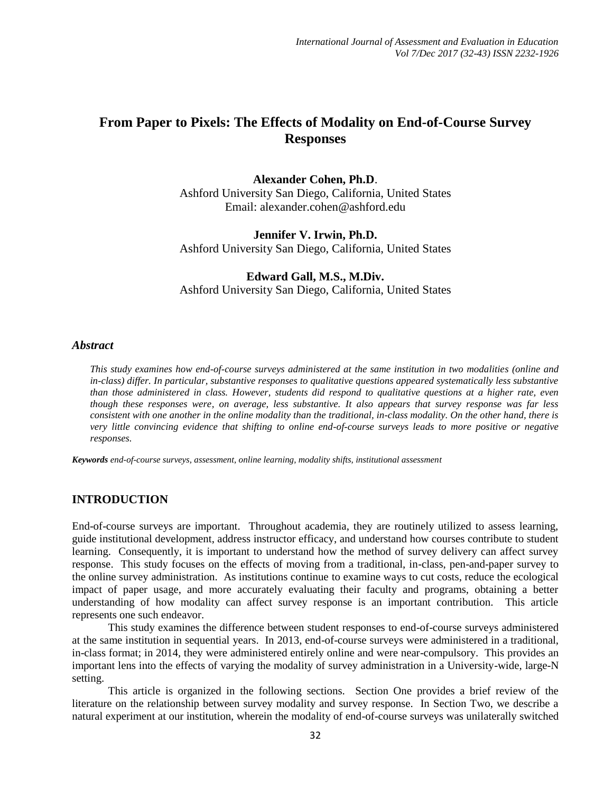# **From Paper to Pixels: The Effects of Modality on End-of-Course Survey Responses**

**Alexander Cohen, Ph.D**. Ashford University San Diego, California, United States Email: alexander.cohen@ashford.edu

**Jennifer V. Irwin, Ph.D.** Ashford University San Diego, California, United States

**Edward Gall, M.S., M.Div.** Ashford University San Diego, California, United States

#### *Abstract*

*This study examines how end-of-course surveys administered at the same institution in two modalities (online and in-class) differ. In particular, substantive responses to qualitative questions appeared systematically less substantive than those administered in class. However, students did respond to qualitative questions at a higher rate, even though these responses were, on average, less substantive. It also appears that survey response was far less consistent with one another in the online modality than the traditional, in-class modality. On the other hand, there is very little convincing evidence that shifting to online end-of-course surveys leads to more positive or negative responses.* 

*Keywords end-of-course surveys, assessment, online learning, modality shifts, institutional assessment*

#### **INTRODUCTION**

End-of-course surveys are important. Throughout academia, they are routinely utilized to assess learning, guide institutional development, address instructor efficacy, and understand how courses contribute to student learning. Consequently, it is important to understand how the method of survey delivery can affect survey response. This study focuses on the effects of moving from a traditional, in-class, pen-and-paper survey to the online survey administration. As institutions continue to examine ways to cut costs, reduce the ecological impact of paper usage, and more accurately evaluating their faculty and programs, obtaining a better understanding of how modality can affect survey response is an important contribution. This article represents one such endeavor.

This study examines the difference between student responses to end-of-course surveys administered at the same institution in sequential years. In 2013, end-of-course surveys were administered in a traditional, in-class format; in 2014, they were administered entirely online and were near-compulsory. This provides an important lens into the effects of varying the modality of survey administration in a University-wide, large-N setting.

This article is organized in the following sections. Section One provides a brief review of the literature on the relationship between survey modality and survey response. In Section Two, we describe a natural experiment at our institution, wherein the modality of end-of-course surveys was unilaterally switched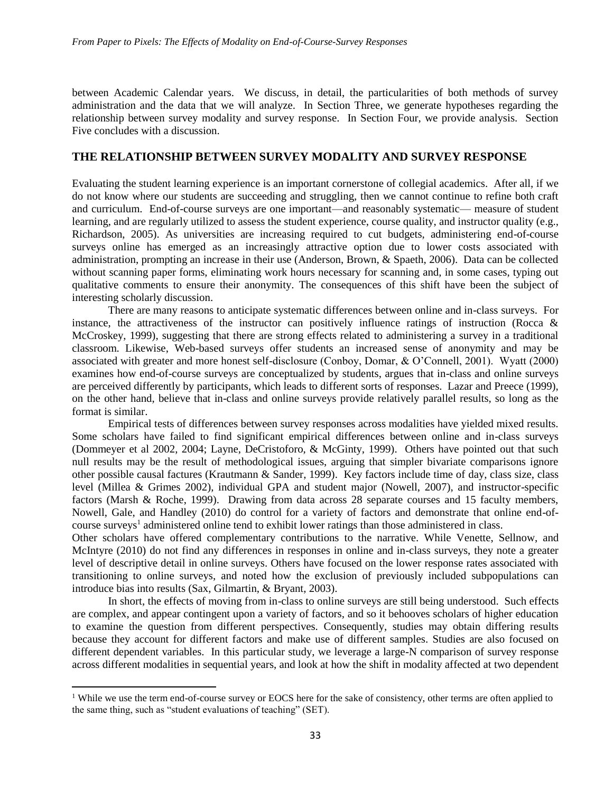between Academic Calendar years. We discuss, in detail, the particularities of both methods of survey administration and the data that we will analyze. In Section Three, we generate hypotheses regarding the relationship between survey modality and survey response. In Section Four, we provide analysis. Section Five concludes with a discussion.

## **THE RELATIONSHIP BETWEEN SURVEY MODALITY AND SURVEY RESPONSE**

Evaluating the student learning experience is an important cornerstone of collegial academics. After all, if we do not know where our students are succeeding and struggling, then we cannot continue to refine both craft and curriculum. End-of-course surveys are one important—and reasonably systematic— measure of student learning, and are regularly utilized to assess the student experience, course quality, and instructor quality (e.g., Richardson, 2005). As universities are increasing required to cut budgets, administering end-of-course surveys online has emerged as an increasingly attractive option due to lower costs associated with administration, prompting an increase in their use (Anderson, Brown, & Spaeth, 2006). Data can be collected without scanning paper forms, eliminating work hours necessary for scanning and, in some cases, typing out qualitative comments to ensure their anonymity. The consequences of this shift have been the subject of interesting scholarly discussion.

There are many reasons to anticipate systematic differences between online and in-class surveys. For instance, the attractiveness of the instructor can positively influence ratings of instruction (Rocca & McCroskey, 1999), suggesting that there are strong effects related to administering a survey in a traditional classroom. Likewise, Web-based surveys offer students an increased sense of anonymity and may be associated with greater and more honest self-disclosure (Conboy, Domar, & O'Connell, 2001). Wyatt (2000) examines how end-of-course surveys are conceptualized by students, argues that in-class and online surveys are perceived differently by participants, which leads to different sorts of responses. Lazar and Preece (1999), on the other hand, believe that in-class and online surveys provide relatively parallel results, so long as the format is similar.

Empirical tests of differences between survey responses across modalities have yielded mixed results. Some scholars have failed to find significant empirical differences between online and in-class surveys (Dommeyer et al 2002, 2004; Layne, DeCristoforo, & McGinty, 1999). Others have pointed out that such null results may be the result of methodological issues, arguing that simpler bivariate comparisons ignore other possible causal factures (Krautmann & Sander, 1999).Key factors include time of day, class size, class level (Millea & Grimes 2002), individual GPA and student major (Nowell, 2007), and instructor-specific factors (Marsh & Roche, 1999). Drawing from data across 28 separate courses and 15 faculty members, Nowell, Gale, and Handley (2010) do control for a variety of factors and demonstrate that online end-ofcourse surveys<sup>1</sup> administered online tend to exhibit lower ratings than those administered in class.

Other scholars have offered complementary contributions to the narrative. While Venette, Sellnow, and McIntyre (2010) do not find any differences in responses in online and in-class surveys, they note a greater level of descriptive detail in online surveys. Others have focused on the lower response rates associated with transitioning to online surveys, and noted how the exclusion of previously included subpopulations can introduce bias into results (Sax, Gilmartin, & Bryant, 2003).

In short, the effects of moving from in-class to online surveys are still being understood. Such effects are complex, and appear contingent upon a variety of factors, and so it behooves scholars of higher education to examine the question from different perspectives. Consequently, studies may obtain differing results because they account for different factors and make use of different samples. Studies are also focused on different dependent variables. In this particular study, we leverage a large-N comparison of survey response across different modalities in sequential years, and look at how the shift in modality affected at two dependent

 $\overline{a}$ 

<sup>&</sup>lt;sup>1</sup> While we use the term end-of-course survey or EOCS here for the sake of consistency, other terms are often applied to the same thing, such as "student evaluations of teaching" (SET).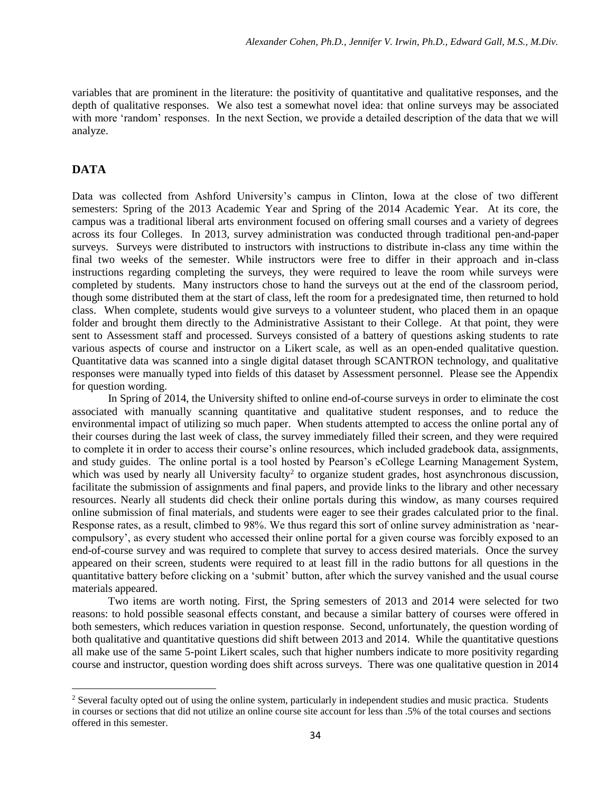variables that are prominent in the literature: the positivity of quantitative and qualitative responses, and the depth of qualitative responses. We also test a somewhat novel idea: that online surveys may be associated with more 'random' responses. In the next Section, we provide a detailed description of the data that we will analyze.

## **DATA**

 $\overline{a}$ 

Data was collected from Ashford University's campus in Clinton, Iowa at the close of two different semesters: Spring of the 2013 Academic Year and Spring of the 2014 Academic Year. At its core, the campus was a traditional liberal arts environment focused on offering small courses and a variety of degrees across its four Colleges. In 2013, survey administration was conducted through traditional pen-and-paper surveys. Surveys were distributed to instructors with instructions to distribute in-class any time within the final two weeks of the semester. While instructors were free to differ in their approach and in-class instructions regarding completing the surveys, they were required to leave the room while surveys were completed by students. Many instructors chose to hand the surveys out at the end of the classroom period, though some distributed them at the start of class, left the room for a predesignated time, then returned to hold class. When complete, students would give surveys to a volunteer student, who placed them in an opaque folder and brought them directly to the Administrative Assistant to their College. At that point, they were sent to Assessment staff and processed. Surveys consisted of a battery of questions asking students to rate various aspects of course and instructor on a Likert scale, as well as an open-ended qualitative question. Quantitative data was scanned into a single digital dataset through SCANTRON technology, and qualitative responses were manually typed into fields of this dataset by Assessment personnel. Please see the Appendix for question wording.

In Spring of 2014, the University shifted to online end-of-course surveys in order to eliminate the cost associated with manually scanning quantitative and qualitative student responses, and to reduce the environmental impact of utilizing so much paper. When students attempted to access the online portal any of their courses during the last week of class, the survey immediately filled their screen, and they were required to complete it in order to access their course's online resources, which included gradebook data, assignments, and study guides. The online portal is a tool hosted by Pearson's eCollege Learning Management System, which was used by nearly all University faculty<sup>2</sup> to organize student grades, host asynchronous discussion, facilitate the submission of assignments and final papers, and provide links to the library and other necessary resources. Nearly all students did check their online portals during this window, as many courses required online submission of final materials, and students were eager to see their grades calculated prior to the final. Response rates, as a result, climbed to 98%. We thus regard this sort of online survey administration as 'nearcompulsory', as every student who accessed their online portal for a given course was forcibly exposed to an end-of-course survey and was required to complete that survey to access desired materials. Once the survey appeared on their screen, students were required to at least fill in the radio buttons for all questions in the quantitative battery before clicking on a 'submit' button, after which the survey vanished and the usual course materials appeared.

Two items are worth noting. First, the Spring semesters of 2013 and 2014 were selected for two reasons: to hold possible seasonal effects constant, and because a similar battery of courses were offered in both semesters, which reduces variation in question response. Second, unfortunately, the question wording of both qualitative and quantitative questions did shift between 2013 and 2014. While the quantitative questions all make use of the same 5-point Likert scales, such that higher numbers indicate to more positivity regarding course and instructor, question wording does shift across surveys. There was one qualitative question in 2014

 $2$  Several faculty opted out of using the online system, particularly in independent studies and music practica. Students in courses or sections that did not utilize an online course site account for less than .5% of the total courses and sections offered in this semester.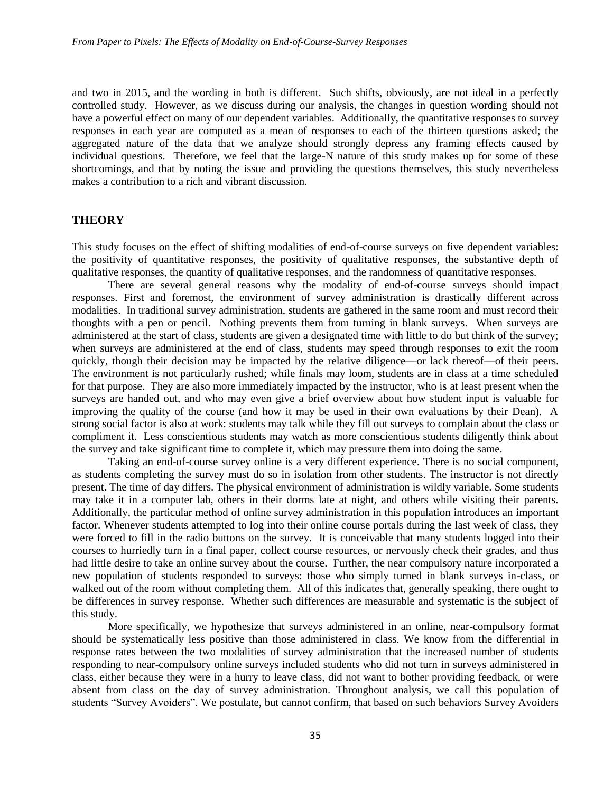and two in 2015, and the wording in both is different. Such shifts, obviously, are not ideal in a perfectly controlled study. However, as we discuss during our analysis, the changes in question wording should not have a powerful effect on many of our dependent variables. Additionally, the quantitative responses to survey responses in each year are computed as a mean of responses to each of the thirteen questions asked; the aggregated nature of the data that we analyze should strongly depress any framing effects caused by individual questions. Therefore, we feel that the large-N nature of this study makes up for some of these shortcomings, and that by noting the issue and providing the questions themselves, this study nevertheless makes a contribution to a rich and vibrant discussion.

### **THEORY**

This study focuses on the effect of shifting modalities of end-of-course surveys on five dependent variables: the positivity of quantitative responses, the positivity of qualitative responses, the substantive depth of qualitative responses, the quantity of qualitative responses, and the randomness of quantitative responses.

There are several general reasons why the modality of end-of-course surveys should impact responses. First and foremost, the environment of survey administration is drastically different across modalities. In traditional survey administration, students are gathered in the same room and must record their thoughts with a pen or pencil. Nothing prevents them from turning in blank surveys. When surveys are administered at the start of class, students are given a designated time with little to do but think of the survey; when surveys are administered at the end of class, students may speed through responses to exit the room quickly, though their decision may be impacted by the relative diligence—or lack thereof—of their peers. The environment is not particularly rushed; while finals may loom, students are in class at a time scheduled for that purpose. They are also more immediately impacted by the instructor, who is at least present when the surveys are handed out, and who may even give a brief overview about how student input is valuable for improving the quality of the course (and how it may be used in their own evaluations by their Dean). A strong social factor is also at work: students may talk while they fill out surveys to complain about the class or compliment it. Less conscientious students may watch as more conscientious students diligently think about the survey and take significant time to complete it, which may pressure them into doing the same.

Taking an end-of-course survey online is a very different experience. There is no social component, as students completing the survey must do so in isolation from other students. The instructor is not directly present. The time of day differs. The physical environment of administration is wildly variable. Some students may take it in a computer lab, others in their dorms late at night, and others while visiting their parents. Additionally, the particular method of online survey administration in this population introduces an important factor. Whenever students attempted to log into their online course portals during the last week of class, they were forced to fill in the radio buttons on the survey. It is conceivable that many students logged into their courses to hurriedly turn in a final paper, collect course resources, or nervously check their grades, and thus had little desire to take an online survey about the course. Further, the near compulsory nature incorporated a new population of students responded to surveys: those who simply turned in blank surveys in-class, or walked out of the room without completing them. All of this indicates that, generally speaking, there ought to be differences in survey response. Whether such differences are measurable and systematic is the subject of this study.

More specifically, we hypothesize that surveys administered in an online, near-compulsory format should be systematically less positive than those administered in class. We know from the differential in response rates between the two modalities of survey administration that the increased number of students responding to near-compulsory online surveys included students who did not turn in surveys administered in class, either because they were in a hurry to leave class, did not want to bother providing feedback, or were absent from class on the day of survey administration. Throughout analysis, we call this population of students "Survey Avoiders". We postulate, but cannot confirm, that based on such behaviors Survey Avoiders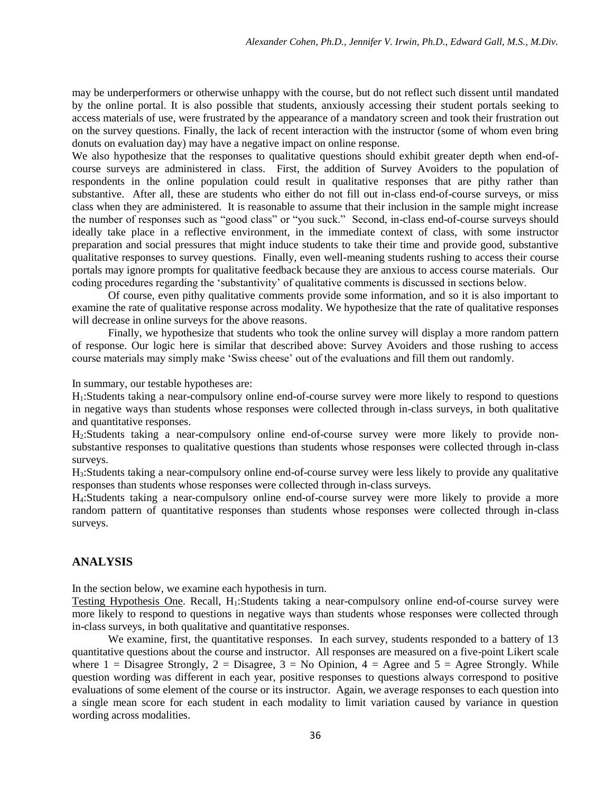may be underperformers or otherwise unhappy with the course, but do not reflect such dissent until mandated by the online portal. It is also possible that students, anxiously accessing their student portals seeking to access materials of use, were frustrated by the appearance of a mandatory screen and took their frustration out on the survey questions. Finally, the lack of recent interaction with the instructor (some of whom even bring donuts on evaluation day) may have a negative impact on online response.

We also hypothesize that the responses to qualitative questions should exhibit greater depth when end-ofcourse surveys are administered in class. First, the addition of Survey Avoiders to the population of respondents in the online population could result in qualitative responses that are pithy rather than substantive. After all, these are students who either do not fill out in-class end-of-course surveys, or miss class when they are administered. It is reasonable to assume that their inclusion in the sample might increase the number of responses such as "good class" or "you suck." Second, in-class end-of-course surveys should ideally take place in a reflective environment, in the immediate context of class, with some instructor preparation and social pressures that might induce students to take their time and provide good, substantive qualitative responses to survey questions. Finally, even well-meaning students rushing to access their course portals may ignore prompts for qualitative feedback because they are anxious to access course materials. Our coding procedures regarding the 'substantivity' of qualitative comments is discussed in sections below.

Of course, even pithy qualitative comments provide some information, and so it is also important to examine the rate of qualitative response across modality. We hypothesize that the rate of qualitative responses will decrease in online surveys for the above reasons.

Finally, we hypothesize that students who took the online survey will display a more random pattern of response. Our logic here is similar that described above: Survey Avoiders and those rushing to access course materials may simply make 'Swiss cheese' out of the evaluations and fill them out randomly.

In summary, our testable hypotheses are:

H1:Students taking a near-compulsory online end-of-course survey were more likely to respond to questions in negative ways than students whose responses were collected through in-class surveys, in both qualitative and quantitative responses.

H2:Students taking a near-compulsory online end-of-course survey were more likely to provide nonsubstantive responses to qualitative questions than students whose responses were collected through in-class surveys.

H3:Students taking a near-compulsory online end-of-course survey were less likely to provide any qualitative responses than students whose responses were collected through in-class surveys.

H4:Students taking a near-compulsory online end-of-course survey were more likely to provide a more random pattern of quantitative responses than students whose responses were collected through in-class surveys.

# **ANALYSIS**

In the section below, we examine each hypothesis in turn.

Testing Hypothesis One. Recall, H1:Students taking a near-compulsory online end-of-course survey were more likely to respond to questions in negative ways than students whose responses were collected through in-class surveys, in both qualitative and quantitative responses.

We examine, first, the quantitative responses. In each survey, students responded to a battery of 13 quantitative questions about the course and instructor. All responses are measured on a five-point Likert scale where  $1 = \text{Disagree}$  Strongly,  $2 = \text{Disagree}$ ,  $3 = \text{No Opinion}$ ,  $4 = \text{Agree}$  and  $5 = \text{Agree}$  Strongly. While question wording was different in each year, positive responses to questions always correspond to positive evaluations of some element of the course or its instructor. Again, we average responses to each question into a single mean score for each student in each modality to limit variation caused by variance in question wording across modalities.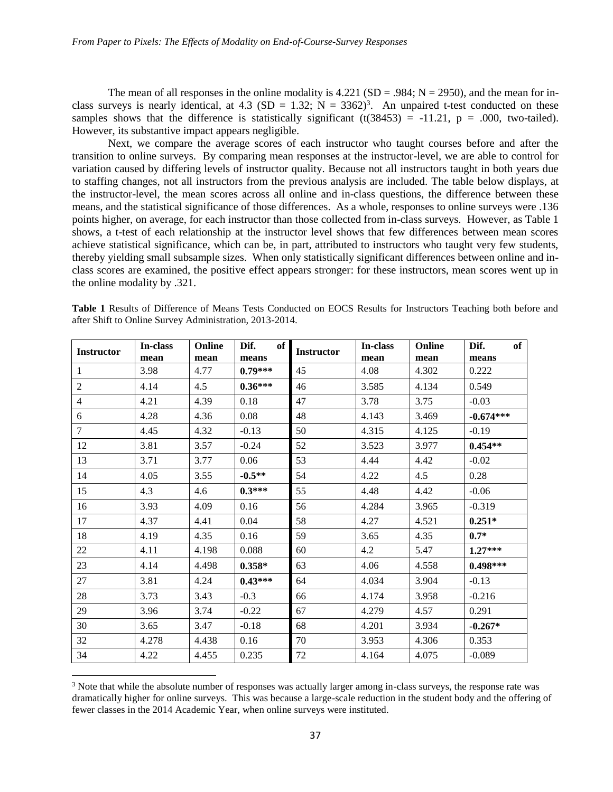The mean of all responses in the online modality is  $4.221$  (SD = .984; N = 2950), and the mean for inclass surveys is nearly identical, at 4.3 (SD = 1.32; N = 3362)<sup>3</sup>. An unpaired t-test conducted on these samples shows that the difference is statistically significant (t(38453) = -11.21, p = .000, two-tailed). However, its substantive impact appears negligible.

Next, we compare the average scores of each instructor who taught courses before and after the transition to online surveys. By comparing mean responses at the instructor-level, we are able to control for variation caused by differing levels of instructor quality. Because not all instructors taught in both years due to staffing changes, not all instructors from the previous analysis are included. The table below displays, at the instructor-level, the mean scores across all online and in-class questions, the difference between these means, and the statistical significance of those differences. As a whole, responses to online surveys were .136 points higher, on average, for each instructor than those collected from in-class surveys. However, as Table 1 shows, a t-test of each relationship at the instructor level shows that few differences between mean scores achieve statistical significance, which can be, in part, attributed to instructors who taught very few students, thereby yielding small subsample sizes. When only statistically significant differences between online and inclass scores are examined, the positive effect appears stronger: for these instructors, mean scores went up in the online modality by .321.

| <b>Instructor</b> | In-class | Online | Dif.<br>of | <b>Instructor</b> | In-class | Online | Dif.<br>of  |
|-------------------|----------|--------|------------|-------------------|----------|--------|-------------|
|                   | mean     | mean   | means      |                   | mean     | mean   | means       |
| 1                 | 3.98     | 4.77   | $0.79***$  | 45                | 4.08     | 4.302  | 0.222       |
| 2                 | 4.14     | 4.5    | $0.36***$  | 46                | 3.585    | 4.134  | 0.549       |
| $\overline{4}$    | 4.21     | 4.39   | 0.18       | 47                | 3.78     | 3.75   | $-0.03$     |
| 6                 | 4.28     | 4.36   | 0.08       | 48                | 4.143    | 3.469  | $-0.674***$ |
| $\tau$            | 4.45     | 4.32   | $-0.13$    | 50                | 4.315    | 4.125  | $-0.19$     |
| 12                | 3.81     | 3.57   | $-0.24$    | 52                | 3.523    | 3.977  | $0.454**$   |
| 13                | 3.71     | 3.77   | 0.06       | 53                | 4.44     | 4.42   | $-0.02$     |
| 14                | 4.05     | 3.55   | $-0.5**$   | 54                | 4.22     | 4.5    | 0.28        |
| 15                | 4.3      | 4.6    | $0.3***$   | 55                | 4.48     | 4.42   | $-0.06$     |
| 16                | 3.93     | 4.09   | 0.16       | 56                | 4.284    | 3.965  | $-0.319$    |
| 17                | 4.37     | 4.41   | 0.04       | 58                | 4.27     | 4.521  | $0.251*$    |
| 18                | 4.19     | 4.35   | 0.16       | 59                | 3.65     | 4.35   | $0.7*$      |
| 22                | 4.11     | 4.198  | 0.088      | 60                | 4.2      | 5.47   | $1.27***$   |
| 23                | 4.14     | 4.498  | $0.358*$   | 63                | 4.06     | 4.558  | $0.498***$  |
| 27                | 3.81     | 4.24   | $0.43***$  | 64                | 4.034    | 3.904  | $-0.13$     |
| 28                | 3.73     | 3.43   | $-0.3$     | 66                | 4.174    | 3.958  | $-0.216$    |
| 29                | 3.96     | 3.74   | $-0.22$    | 67                | 4.279    | 4.57   | 0.291       |
| 30                | 3.65     | 3.47   | $-0.18$    | 68                | 4.201    | 3.934  | $-0.267*$   |
| 32                | 4.278    | 4.438  | 0.16       | 70                | 3.953    | 4.306  | 0.353       |
| 34                | 4.22     | 4.455  | 0.235      | 72                | 4.164    | 4.075  | $-0.089$    |

**Table 1** Results of Difference of Means Tests Conducted on EOCS Results for Instructors Teaching both before and after Shift to Online Survey Administration, 2013-2014.

 $\overline{a}$ 

<sup>&</sup>lt;sup>3</sup> Note that while the absolute number of responses was actually larger among in-class surveys, the response rate was dramatically higher for online surveys. This was because a large-scale reduction in the student body and the offering of fewer classes in the 2014 Academic Year, when online surveys were instituted.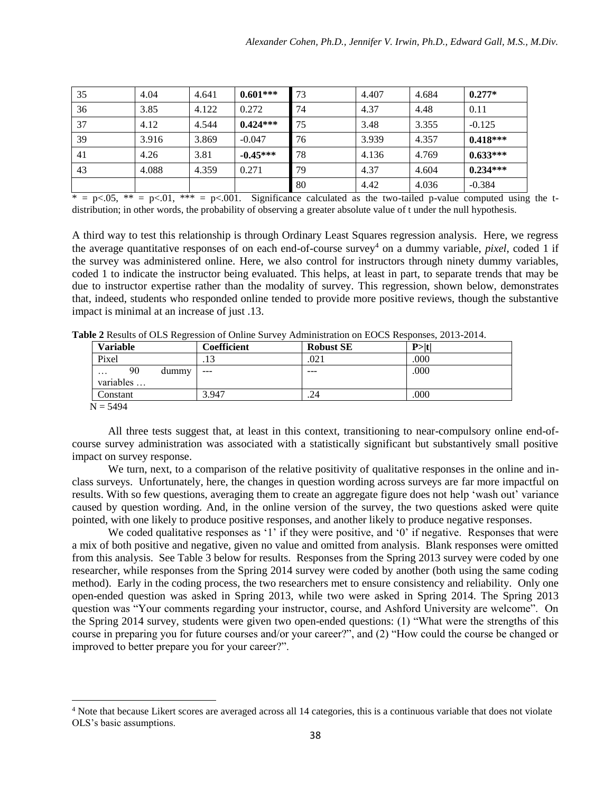| 35 | 4.04  | 4.641 | $0.601***$ | 73 | 4.407 | 4.684 | $0.277*$   |
|----|-------|-------|------------|----|-------|-------|------------|
| 36 | 3.85  | 4.122 | 0.272      | 74 | 4.37  | 4.48  | 0.11       |
| 37 | 4.12  | 4.544 | $0.424***$ | 75 | 3.48  | 3.355 | $-0.125$   |
| 39 | 3.916 | 3.869 | $-0.047$   | 76 | 3.939 | 4.357 | $0.418***$ |
| 41 | 4.26  | 3.81  | $-0.45***$ | 78 | 4.136 | 4.769 | $0.633***$ |
| 43 | 4.088 | 4.359 | 0.271      | 79 | 4.37  | 4.604 | $0.234***$ |
|    |       |       |            | 80 | 4.42  | 4.036 | $-0.384$   |

\* = p<.05, \*\* = p<.01, \*\*\* = p<.001. Significance calculated as the two-tailed p-value computed using the tdistribution; in other words, the probability of observing a greater absolute value of t under the null hypothesis.

A third way to test this relationship is through Ordinary Least Squares regression analysis. Here, we regress the average quantitative responses of on each end-of-course survey<sup>4</sup> on a dummy variable, *pixel*, coded 1 if the survey was administered online. Here, we also control for instructors through ninety dummy variables, coded 1 to indicate the instructor being evaluated. This helps, at least in part, to separate trends that may be due to instructor expertise rather than the modality of survey. This regression, shown below, demonstrates that, indeed, students who responded online tended to provide more positive reviews, though the substantive impact is minimal at an increase of just .13.

| <b>Variable</b>            |       | Coefficient | <b>Robust SE</b> | $P>$  t |
|----------------------------|-------|-------------|------------------|---------|
| Pixel                      |       |             | .021             | .000    |
| 90<br>$\cdot$<br>variables | dummy | $- - -$     | $- - -$          | .000    |
| Constant                   |       | 3.947       | .24              | .000    |
| $N = 5494$                 |       |             |                  |         |

**Table 2** Results of OLS Regression of Online Survey Administration on EOCS Responses, 2013-2014.

All three tests suggest that, at least in this context, transitioning to near-compulsory online end-ofcourse survey administration was associated with a statistically significant but substantively small positive impact on survey response.

We turn, next, to a comparison of the relative positivity of qualitative responses in the online and inclass surveys. Unfortunately, here, the changes in question wording across surveys are far more impactful on results. With so few questions, averaging them to create an aggregate figure does not help 'wash out' variance caused by question wording. And, in the online version of the survey, the two questions asked were quite pointed, with one likely to produce positive responses, and another likely to produce negative responses.

We coded qualitative responses as '1' if they were positive, and '0' if negative. Responses that were a mix of both positive and negative, given no value and omitted from analysis. Blank responses were omitted from this analysis. See Table 3 below for results. Responses from the Spring 2013 survey were coded by one researcher, while responses from the Spring 2014 survey were coded by another (both using the same coding method). Early in the coding process, the two researchers met to ensure consistency and reliability. Only one open-ended question was asked in Spring 2013, while two were asked in Spring 2014. The Spring 2013 question was "Your comments regarding your instructor, course, and Ashford University are welcome". On the Spring 2014 survey, students were given two open-ended questions: (1) "What were the strengths of this course in preparing you for future courses and/or your career?", and (2) "How could the course be changed or improved to better prepare you for your career?".

 $\overline{a}$ 

<sup>4</sup> Note that because Likert scores are averaged across all 14 categories, this is a continuous variable that does not violate OLS's basic assumptions.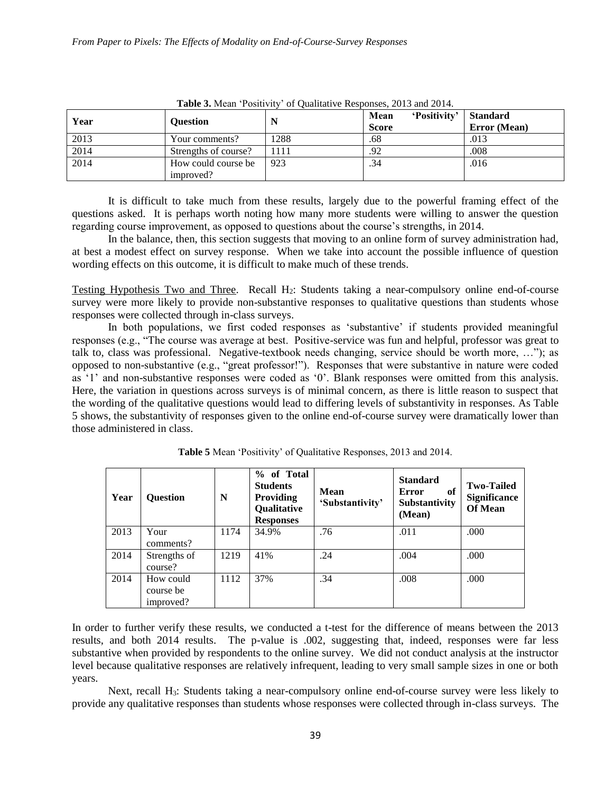| Year | <b>Ouestion</b>      |      | 'Positivity'<br>Mean<br><b>Score</b> | <b>Standard</b><br>Error (Mean) |
|------|----------------------|------|--------------------------------------|---------------------------------|
| 2013 | Your comments?       | 1288 | .68                                  | .013                            |
| 2014 | Strengths of course? | 1111 | .92                                  | .008                            |
| 2014 | How could course be  | 923  | .34                                  | .016                            |
|      | improved?            |      |                                      |                                 |

**Table 3.** Mean 'Positivity' of Qualitative Responses, 2013 and 2014.

It is difficult to take much from these results, largely due to the powerful framing effect of the questions asked. It is perhaps worth noting how many more students were willing to answer the question regarding course improvement, as opposed to questions about the course's strengths, in 2014.

In the balance, then, this section suggests that moving to an online form of survey administration had, at best a modest effect on survey response. When we take into account the possible influence of question wording effects on this outcome, it is difficult to make much of these trends.

Testing Hypothesis Two and Three. Recall H2: Students taking a near-compulsory online end-of-course survey were more likely to provide non-substantive responses to qualitative questions than students whose responses were collected through in-class surveys.

In both populations, we first coded responses as 'substantive' if students provided meaningful responses (e.g., "The course was average at best. Positive-service was fun and helpful, professor was great to talk to, class was professional. Negative-textbook needs changing, service should be worth more, …"); as opposed to non-substantive (e.g., "great professor!"). Responses that were substantive in nature were coded as '1' and non-substantive responses were coded as '0'. Blank responses were omitted from this analysis. Here, the variation in questions across surveys is of minimal concern, as there is little reason to suspect that the wording of the qualitative questions would lead to differing levels of substantivity in responses. As Table 5 shows, the substantivity of responses given to the online end-of-course survey were dramatically lower than those administered in class.

| Year | <b>Question</b>                     | N    | % of Total<br><b>Students</b><br><b>Providing</b><br>Qualitative<br><b>Responses</b> | <b>Mean</b><br>'Substantivity' | <b>Standard</b><br>of<br>Error<br>Substantivity<br>(Mean) | <b>Two-Tailed</b><br><b>Significance</b><br><b>Of Mean</b> |
|------|-------------------------------------|------|--------------------------------------------------------------------------------------|--------------------------------|-----------------------------------------------------------|------------------------------------------------------------|
| 2013 | Your<br>comments?                   | 1174 | 34.9%                                                                                | .76                            | .011                                                      | .000                                                       |
| 2014 | Strengths of<br>course?             | 1219 | 41%                                                                                  | .24                            | .004                                                      | .000                                                       |
| 2014 | How could<br>course be<br>improved? | 1112 | 37%                                                                                  | .34                            | .008                                                      | .000                                                       |

**Table 5** Mean 'Positivity' of Qualitative Responses, 2013 and 2014.

In order to further verify these results, we conducted a t-test for the difference of means between the 2013 results, and both 2014 results. The p-value is .002, suggesting that, indeed, responses were far less substantive when provided by respondents to the online survey. We did not conduct analysis at the instructor level because qualitative responses are relatively infrequent, leading to very small sample sizes in one or both years.

Next, recall H<sub>3</sub>: Students taking a near-compulsory online end-of-course survey were less likely to provide any qualitative responses than students whose responses were collected through in-class surveys. The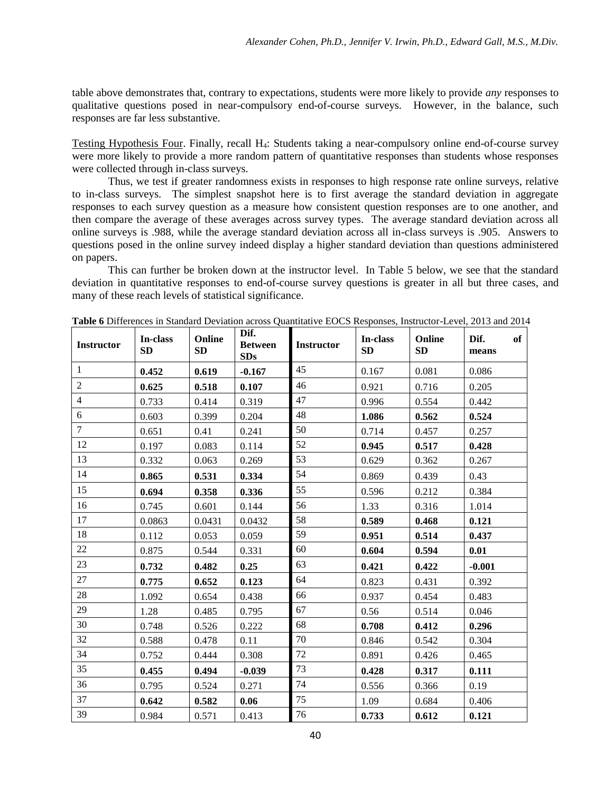table above demonstrates that, contrary to expectations, students were more likely to provide *any* responses to qualitative questions posed in near-compulsory end-of-course surveys. However, in the balance, such responses are far less substantive.

Testing Hypothesis Four. Finally, recall H4: Students taking a near-compulsory online end-of-course survey were more likely to provide a more random pattern of quantitative responses than students whose responses were collected through in-class surveys.

Thus, we test if greater randomness exists in responses to high response rate online surveys, relative to in-class surveys. The simplest snapshot here is to first average the standard deviation in aggregate responses to each survey question as a measure how consistent question responses are to one another, and then compare the average of these averages across survey types. The average standard deviation across all online surveys is .988, while the average standard deviation across all in-class surveys is .905. Answers to questions posed in the online survey indeed display a higher standard deviation than questions administered on papers.

This can further be broken down at the instructor level. In Table 5 below, we see that the standard deviation in quantitative responses to end-of-course survey questions is greater in all but three cases, and many of these reach levels of statistical significance.

| <b>Instructor</b> | In-class<br>SD | Online<br>SD | Dif.<br><b>Between</b><br><b>SDs</b> | <b>Instructor</b> | In-class<br><b>SD</b> | Online<br><b>SD</b> | Dif.<br>of<br>means |
|-------------------|----------------|--------------|--------------------------------------|-------------------|-----------------------|---------------------|---------------------|
| 1                 | 0.452          | 0.619        | $-0.167$                             | 45                | 0.167                 | 0.081               | 0.086               |
| $\boldsymbol{2}$  | 0.625          | 0.518        | 0.107                                | 46                | 0.921                 | 0.716               | 0.205               |
| $\overline{4}$    | 0.733          | 0.414        | 0.319                                | 47                | 0.996                 | 0.554               | 0.442               |
| 6                 | 0.603          | 0.399        | 0.204                                | 48                | 1.086                 | 0.562               | 0.524               |
| $\overline{7}$    | 0.651          | 0.41         | 0.241                                | 50                | 0.714                 | 0.457               | 0.257               |
| 12                | 0.197          | 0.083        | 0.114                                | 52                | 0.945                 | 0.517               | 0.428               |
| 13                | 0.332          | 0.063        | 0.269                                | 53                | 0.629                 | 0.362               | 0.267               |
| 14                | 0.865          | 0.531        | 0.334                                | 54                | 0.869                 | 0.439               | 0.43                |
| 15                | 0.694          | 0.358        | 0.336                                | 55                | 0.596                 | 0.212               | 0.384               |
| 16                | 0.745          | 0.601        | 0.144                                | 56                | 1.33                  | 0.316               | 1.014               |
| 17                | 0.0863         | 0.0431       | 0.0432                               | 58                | 0.589                 | 0.468               | 0.121               |
| 18                | 0.112          | 0.053        | 0.059                                | 59                | 0.951                 | 0.514               | 0.437               |
| 22                | 0.875          | 0.544        | 0.331                                | 60                | 0.604                 | 0.594               | 0.01                |
| 23                | 0.732          | 0.482        | 0.25                                 | 63                | 0.421                 | 0.422               | $-0.001$            |
| 27                | 0.775          | 0.652        | 0.123                                | 64                | 0.823                 | 0.431               | 0.392               |
| 28                | 1.092          | 0.654        | 0.438                                | 66                | 0.937                 | 0.454               | 0.483               |
| 29                | 1.28           | 0.485        | 0.795                                | 67                | 0.56                  | 0.514               | 0.046               |
| 30                | 0.748          | 0.526        | 0.222                                | 68                | 0.708                 | 0.412               | 0.296               |
| 32                | 0.588          | 0.478        | 0.11                                 | 70                | 0.846                 | 0.542               | 0.304               |
| 34                | 0.752          | 0.444        | 0.308                                | 72                | 0.891                 | 0.426               | 0.465               |
| 35                | 0.455          | 0.494        | $-0.039$                             | 73                | 0.428                 | 0.317               | 0.111               |
| 36                | 0.795          | 0.524        | 0.271                                | 74                | 0.556                 | 0.366               | 0.19                |
| 37                | 0.642          | 0.582        | 0.06                                 | 75                | 1.09                  | 0.684               | 0.406               |
| 39                | 0.984          | 0.571        | 0.413                                | 76                | 0.733                 | 0.612               | 0.121               |

**Table 6** Differences in Standard Deviation across Quantitative EOCS Responses, Instructor-Level, 2013 and 2014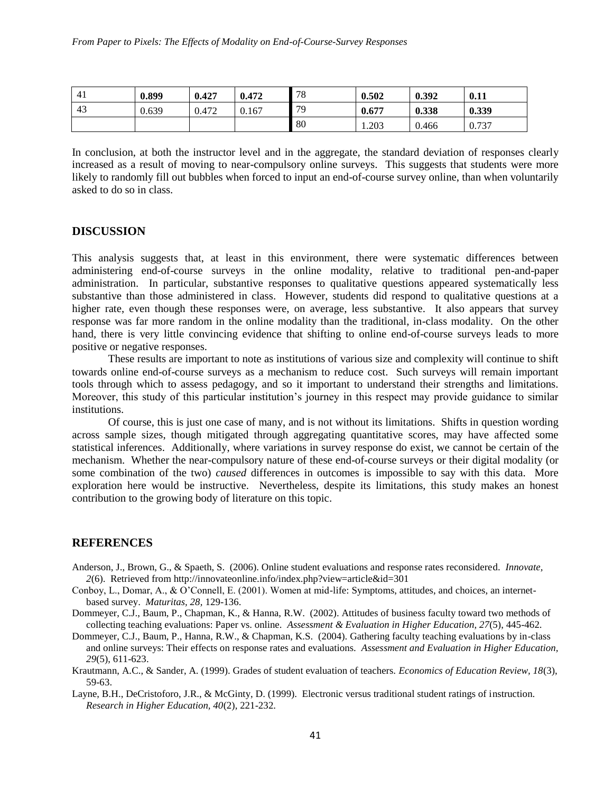| 4 <sub>1</sub> | 0.899 | 0.427 | 0.472 | 70<br>ە / | 0.502 | 0.392 | 0.11  |
|----------------|-------|-------|-------|-----------|-------|-------|-------|
| 43             | 0.639 | 0.472 | 0.167 | 70        | 0.677 | 0.338 | 0.339 |
|                |       |       |       | 80        | 1.203 | 0.466 | 0.737 |

In conclusion, at both the instructor level and in the aggregate, the standard deviation of responses clearly increased as a result of moving to near-compulsory online surveys. This suggests that students were more likely to randomly fill out bubbles when forced to input an end-of-course survey online, than when voluntarily asked to do so in class.

## **DISCUSSION**

This analysis suggests that, at least in this environment, there were systematic differences between administering end-of-course surveys in the online modality, relative to traditional pen-and-paper administration. In particular, substantive responses to qualitative questions appeared systematically less substantive than those administered in class. However, students did respond to qualitative questions at a higher rate, even though these responses were, on average, less substantive. It also appears that survey response was far more random in the online modality than the traditional, in-class modality. On the other hand, there is very little convincing evidence that shifting to online end-of-course surveys leads to more positive or negative responses.

These results are important to note as institutions of various size and complexity will continue to shift towards online end-of-course surveys as a mechanism to reduce cost. Such surveys will remain important tools through which to assess pedagogy, and so it important to understand their strengths and limitations. Moreover, this study of this particular institution's journey in this respect may provide guidance to similar institutions.

Of course, this is just one case of many, and is not without its limitations. Shifts in question wording across sample sizes, though mitigated through aggregating quantitative scores, may have affected some statistical inferences. Additionally, where variations in survey response do exist, we cannot be certain of the mechanism. Whether the near-compulsory nature of these end-of-course surveys or their digital modality (or some combination of the two) *caused* differences in outcomes is impossible to say with this data. More exploration here would be instructive. Nevertheless, despite its limitations, this study makes an honest contribution to the growing body of literature on this topic.

#### **REFERENCES**

- Anderson, J., Brown, G., & Spaeth, S. (2006). Online student evaluations and response rates reconsidered. *Innovate, 2*(6). Retrieved from http://innovateonline.info/index.php?view=article&id=301
- Conboy, L., Domar, A., & O'Connell, E. (2001). Women at mid-life: Symptoms, attitudes, and choices, an internetbased survey. *Maturitas, 28,* 129-136.
- Dommeyer, C.J., Baum, P., Chapman, K., & Hanna, R.W. (2002). Attitudes of business faculty toward two methods of collecting teaching evaluations: Paper vs. online. *Assessment & Evaluation in Higher Education, 27*(5), 445-462.
- Dommeyer, C.J., Baum, P., Hanna, R.W., & Chapman, K.S. (2004). Gathering faculty teaching evaluations by in-class and online surveys: Their effects on response rates and evaluations. *Assessment and Evaluation in Higher Education, 29*(5), 611-623.
- Krautmann, A.C., & Sander, A. (1999). Grades of student evaluation of teachers. *Economics of Education Review, 18*(3), 59-63.
- Layne, B.H., DeCristoforo, J.R., & McGinty, D. (1999). Electronic versus traditional student ratings of instruction. *Research in Higher Education, 40*(2), 221-232.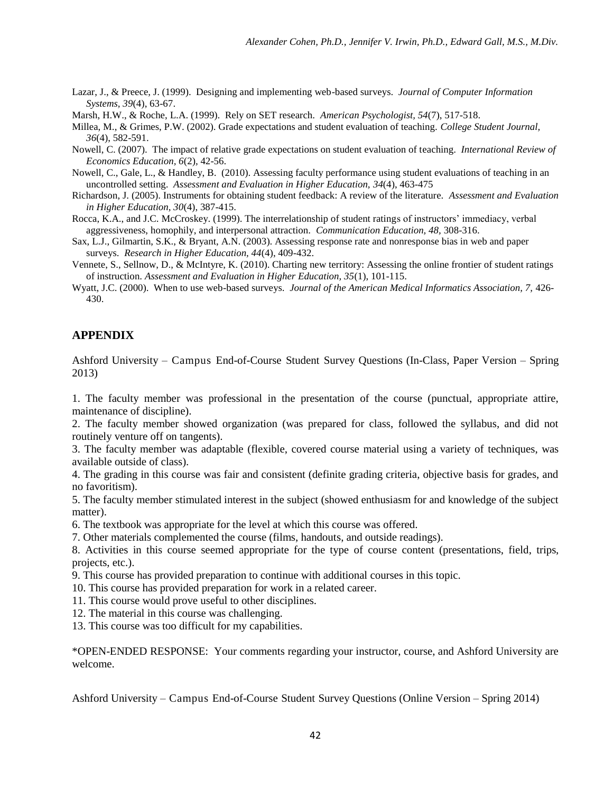- Lazar, J., & Preece, J. (1999). Designing and implementing web-based surveys. *Journal of Computer Information Systems, 39*(4), 63-67.
- Marsh, H.W., & Roche, L.A. (1999). Rely on SET research. *American Psychologist, 54*(7), 517-518.

Millea, M., & Grimes, P.W. (2002). Grade expectations and student evaluation of teaching. *College Student Journal, 36*(4), 582-591.

- Nowell, C. (2007). The impact of relative grade expectations on student evaluation of teaching. *International Review of Economics Education, 6*(2)*,* 42-56.
- Nowell, C., Gale, L., & Handley, B. (2010). Assessing faculty performance using student evaluations of teaching in an uncontrolled setting. *Assessment and Evaluation in Higher Education, 34*(4), 463-475
- Richardson, J. (2005). Instruments for obtaining student feedback: A review of the literature. *Assessment and Evaluation in Higher Education, 30*(4), 387-415.
- Rocca, K.A., and J.C. McCroskey. (1999). The interrelationship of student ratings of instructors' immediacy, verbal aggressiveness, homophily, and interpersonal attraction. *Communication Education, 48,* 308-316.
- Sax, L.J., Gilmartin, S.K., & Bryant, A.N. (2003). Assessing response rate and nonresponse bias in web and paper surveys. *Research in Higher Education, 44*(4), 409-432.
- Vennete, S., Sellnow, D., & McIntyre, K. (2010). Charting new territory: Assessing the online frontier of student ratings of instruction. *Assessment and Evaluation in Higher Education, 35*(1), 101-115.
- Wyatt, J.C. (2000). When to use web-based surveys. *Journal of the American Medical Informatics Association, 7,* 426- 430.

# **APPENDIX**

Ashford University – Campus End-of-Course Student Survey Questions (In-Class, Paper Version – Spring 2013)

1. The faculty member was professional in the presentation of the course (punctual, appropriate attire, maintenance of discipline).

2. The faculty member showed organization (was prepared for class, followed the syllabus, and did not routinely venture off on tangents).

3. The faculty member was adaptable (flexible, covered course material using a variety of techniques, was available outside of class).

4. The grading in this course was fair and consistent (definite grading criteria, objective basis for grades, and no favoritism).

5. The faculty member stimulated interest in the subject (showed enthusiasm for and knowledge of the subject matter).

6. The textbook was appropriate for the level at which this course was offered.

7. Other materials complemented the course (films, handouts, and outside readings).

8. Activities in this course seemed appropriate for the type of course content (presentations, field, trips, projects, etc.).

9. This course has provided preparation to continue with additional courses in this topic.

10. This course has provided preparation for work in a related career.

11. This course would prove useful to other disciplines.

12. The material in this course was challenging.

13. This course was too difficult for my capabilities.

\*OPEN-ENDED RESPONSE: Your comments regarding your instructor, course, and Ashford University are welcome.

Ashford University – Campus End-of-Course Student Survey Questions (Online Version – Spring 2014)